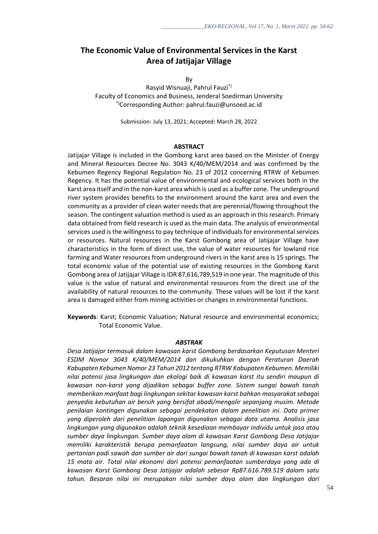# **The Economic Value of Environmental Services in the Karst Area of Jatijajar Village**

By

Rasyid Wisnuaji, Pahrul Fauzi\*) Faculty of Economics and Business, Jenderal Soedirman University \*)Corresponding Author: pahrul.fauzi@unsoed.ac.id

Submission: July 13, 2021; Accepted: March 28, 2022

#### **ABSTRACT**

Jatijajar Village is included in the Gombong karst area based on the Minister of Energy and Mineral Resources Decree No. 3043 K/40/MEM/2014 and was confirmed by the Kebumen Regency Regional Regulation No. 23 of 2012 concerning RTRW of Kebumen Regency. It has the potential value of environmental and ecological services both in the karst area itself and in the non-karst area which is used as a buffer zone. The underground river system provides benefits to the environment around the karst area and even the community as a provider of clean water needs that are perennial/flowing throughout the season. The contingent valuation method is used as an approach in this research. Primary data obtained from field research is used as the main data. The analysis of environmental services used is the willingness to pay technique of individuals for environmental services or resources. Natural resources in the Karst Gombong area of Jatijajar Village have characteristics in the form of direct use, the value of water resources for lowland rice farming and Water resources from underground rivers in the karst area is 15 springs. The total economic value of the potential use of existing resources in the Gombong Karst Gombong area of Jatijajar Village is IDR 87,616,789,519 in one year. The magnitude of this value is the value of natural and environmental resources from the direct use of the availability of natural resources to the community. These values will be lost if the karst area is damaged either from mining activities or changes in environmental functions.

**Keywords**: Karst; Economic Valuation; Natural resource and environmental economics; Total Economic Value.

#### *ABSTRAK*

*Desa Jatijajar termasuk dalam kawasan karst Gombong berdasarkan Keputusan Menteri ESDM Nomor 3043 K/40/MEM/2014 dan dikukuhkan dengan Peraturan Daerah Kabupaten Kebumen Nomor 23 Tahun 2012 tentang RTRW Kabupaten Kebumen. Memiliki nilai potensi jasa lingkungan dan ekologi baik di kawasan karst itu sendiri maupun di kawasan non-karst yang dijadikan sebagai buffer zone. Sistem sungai bawah tanah memberikan manfaat bagi lingkungan sekitar kawasan karst bahkan masyarakat sebagai penyedia kebutuhan air bersih yang bersifat abadi/mengalir sepanjang musim. Metode penilaian kontingen digunakan sebagai pendekatan dalam penelitian ini. Data primer yang diperoleh dari penelitian lapangan digunakan sebagai data utama. Analisis jasa lingkungan yang digunakan adalah teknik kesediaan membayar individu untuk jasa atau sumber daya lingkungan. Sumber daya alam di kawasan Karst Gombong Desa Jatijajar memiliki karakteristik berupa pemanfaatan langsung, nilai sumber daya air untuk pertanian padi sawah dan sumber air dari sungai bawah tanah di kawasan karst adalah 15 mata air. Total nilai ekonomi dari potensi pemanfaatan sumberdaya yang ada di kawasan Karst Gombong Desa Jatijajar adalah sebesar Rp87.616.789.519 dalam satu tahun. Besaran nilai ini merupakan nilai sumber daya alam dan lingkungan dari*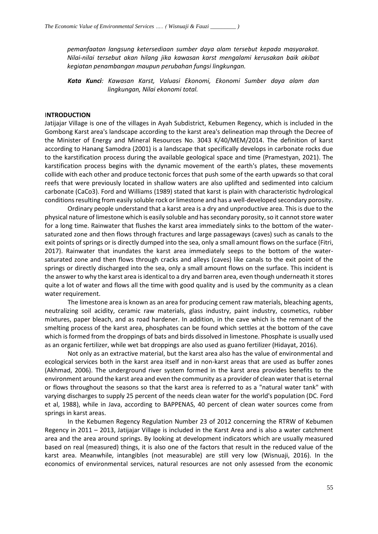*pemanfaatan langsung ketersediaan sumber daya alam tersebut kepada masyarakat. Nilai-nilai tersebut akan hilang jika kawasan karst mengalami kerusakan baik akibat kegiatan penambangan maupun perubahan fungsi lingkungan.*

*Kata Kunci: Kawasan Karst, Valuasi Ekonomi, Ekonomi Sumber daya alam dan lingkungan, Nilai ekonomi total.*

### I**NTRODUCTION**

Jatijajar Village is one of the villages in Ayah Subdistrict, Kebumen Regency, which is included in the Gombong Karst area's landscape according to the karst area's delineation map through the Decree of the Minister of Energy and Mineral Resources No. 3043 K/40/MEM/2014. The definition of karst according to Hanang Samodra (2001) is a landscape that specifically develops in carbonate rocks due to the karstification process during the available geological space and time (Pramestyan, 2021). The karstification process begins with the dynamic movement of the earth's plates, these movements collide with each other and produce tectonic forces that push some of the earth upwards so that coral reefs that were previously located in shallow waters are also uplifted and sedimented into calcium carbonate (CaCo3). Ford and Williams (1989) stated that karst is plain with characteristic hydrological conditions resulting from easily soluble rock or limestone and has a well-developed secondary porosity.

Ordinary people understand that a karst area is a dry and unproductive area. This is due to the physical nature of limestone which is easily soluble and has secondary porosity, so it cannot store water for a long time. Rainwater that flushes the karst area immediately sinks to the bottom of the watersaturated zone and then flows through fractures and large passageways (caves) such as canals to the exit points of springs or is directly dumped into the sea, only a small amount flows on the surface (Fitri, 2017). Rainwater that inundates the karst area immediately seeps to the bottom of the watersaturated zone and then flows through cracks and alleys (caves) like canals to the exit point of the springs or directly discharged into the sea, only a small amount flows on the surface. This incident is the answer to why the karst area is identical to a dry and barren area, even though underneath it stores quite a lot of water and flows all the time with good quality and is used by the community as a clean water requirement.

The limestone area is known as an area for producing cement raw materials, bleaching agents, neutralizing soil acidity, ceramic raw materials, glass industry, paint industry, cosmetics, rubber mixtures, paper bleach, and as road hardener. In addition, in the cave which is the remnant of the smelting process of the karst area, phosphates can be found which settles at the bottom of the cave which is formed from the droppings of bats and birds dissolved in limestone. Phosphate is usually used as an organic fertilizer, while wet bat droppings are also used as guano fertilizer (Hidayat, 2016).

Not only as an extractive material, but the karst area also has the value of environmental and ecological services both in the karst area itself and in non-karst areas that are used as buffer zones (Akhmad, 2006). The underground river system formed in the karst area provides benefits to the environment around the karst area and even the community as a provider of clean water that is eternal or flows throughout the seasons so that the karst area is referred to as a "natural water tank" with varying discharges to supply 25 percent of the needs clean water for the world's population (DC. Ford et al, 1988), while in Java, according to BAPPENAS, 40 percent of clean water sources come from springs in karst areas.

In the Kebumen Regency Regulation Number 23 of 2012 concerning the RTRW of Kebumen Regency in 2011 – 2013, Jatijajar Village is included in the Karst Area and is also a water catchment area and the area around springs. By looking at development indicators which are usually measured based on real (measured) things, it is also one of the factors that result in the reduced value of the karst area. Meanwhile, intangibles (not measurable) are still very low (Wisnuaji, 2016). In the economics of environmental services, natural resources are not only assessed from the economic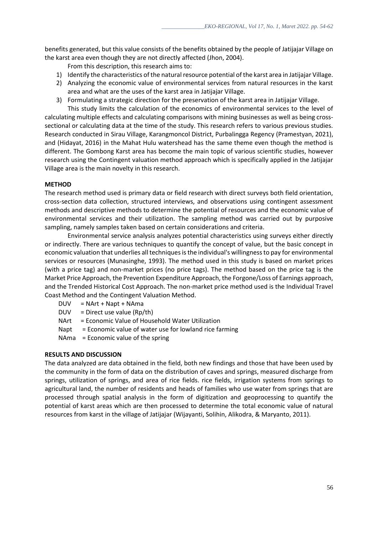benefits generated, but this value consists of the benefits obtained by the people of Jatijajar Village on the karst area even though they are not directly affected (Jhon, 2004).

From this description, this research aims to:

- 1) Identify the characteristics of the natural resource potential of the karst area in Jatijajar Village.
- 2) Analyzing the economic value of environmental services from natural resources in the karst area and what are the uses of the karst area in Jatijajar Village.
- 3) Formulating a strategic direction for the preservation of the karst area in Jatijajar Village.

This study limits the calculation of the economics of environmental services to the level of calculating multiple effects and calculating comparisons with mining businesses as well as being crosssectional or calculating data at the time of the study. This research refers to various previous studies. Research conducted in Sirau Village, Karangmoncol District, Purbalingga Regency (Pramestyan, 2021), and (Hidayat, 2016) in the Mahat Hulu watershead has the same theme even though the method is different. The Gombong Karst area has become the main topic of various scientific studies, however research using the Contingent valuation method approach which is specifically applied in the Jatijajar Village area is the main novelty in this research.

## **METHOD**

The research method used is primary data or field research with direct surveys both field orientation, cross-section data collection, structured interviews, and observations using contingent assessment methods and descriptive methods to determine the potential of resources and the economic value of environmental services and their utilization. The sampling method was carried out by purposive sampling, namely samples taken based on certain considerations and criteria.

Environmental service analysis analyzes potential characteristics using surveys either directly or indirectly. There are various techniques to quantify the concept of value, but the basic concept in economic valuation that underlies all techniques is the individual's willingness to pay for environmental services or resources (Munasinghe, 1993). The method used in this study is based on market prices (with a price tag) and non-market prices (no price tags). The method based on the price tag is the Market Price Approach, the Prevention Expenditure Approach, the Forgone/Loss of Earnings approach, and the Trended Historical Cost Approach. The non-market price method used is the Individual Travel Coast Method and the Contingent Valuation Method.

- DUV = NArt + Napt + NAma
- $DUV = Direct use value (Rp/th)$
- NArt = Economic Value of Household Water Utilization
- Napt  $=$  Economic value of water use for lowland rice farming
- NAma = Economic value of the spring

### **RESULTS AND DISCUSSION**

The data analyzed are data obtained in the field, both new findings and those that have been used by the community in the form of data on the distribution of caves and springs, measured discharge from springs, utilization of springs, and area of rice fields. rice fields, irrigation systems from springs to agricultural land, the number of residents and heads of families who use water from springs that are processed through spatial analysis in the form of digitization and geoprocessing to quantify the potential of karst areas which are then processed to determine the total economic value of natural resources from karst in the village of Jatijajar (Wijayanti, Solihin, Alikodra, & Maryanto, 2011).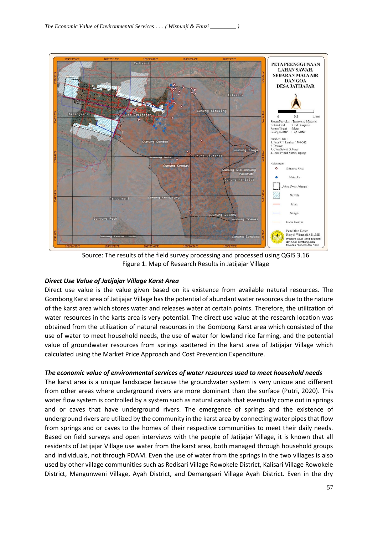

Source: The results of the field survey processing and processed using QGIS 3.16 Figure 1. Map of Research Results in Jatijajar Village

### *Direct Use Value of Jatijajar Village Karst Area*

Direct use value is the value given based on its existence from available natural resources. The Gombong Karst area of Jatijajar Village has the potential of abundant water resources due to the nature of the karst area which stores water and releases water at certain points. Therefore, the utilization of water resources in the karts area is very potential. The direct use value at the research location was obtained from the utilization of natural resources in the Gombong Karst area which consisted of the use of water to meet household needs, the use of water for lowland rice farming, and the potential value of groundwater resources from springs scattered in the karst area of Jatijajar Village which calculated using the Market Price Approach and Cost Prevention Expenditure.

### *The economic value of environmental services of water resources used to meet household needs*

The karst area is a unique landscape because the groundwater system is very unique and different from other areas where underground rivers are more dominant than the surface (Putri, 2020). This water flow system is controlled by a system such as natural canals that eventually come out in springs and or caves that have underground rivers. The emergence of springs and the existence of underground rivers are utilized by the community in the karst area by connecting water pipes that flow from springs and or caves to the homes of their respective communities to meet their daily needs. Based on field surveys and open interviews with the people of Jatijajar Village, it is known that all residents of Jatijajar Village use water from the karst area, both managed through household groups and individuals, not through PDAM. Even the use of water from the springs in the two villages is also used by other village communities such as Redisari Village Rowokele District, Kalisari Village Rowokele District, Mangunweni Village, Ayah District, and Demangsari Village Ayah District. Even in the dry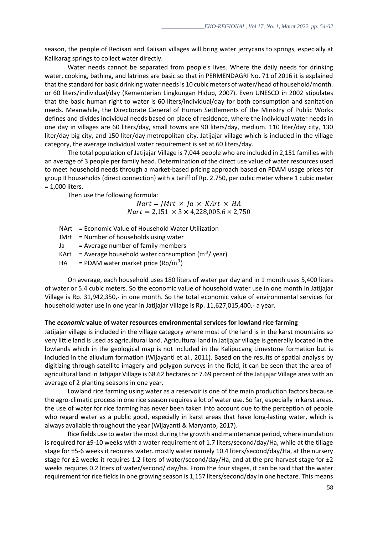season, the people of Redisari and Kalisari villages will bring water jerrycans to springs, especially at Kalikarag springs to collect water directly.

Water needs cannot be separated from people's lives. Where the daily needs for drinking water, cooking, bathing, and latrines are basic so that in PERMENDAGRI No. 71 of 2016 it is explained that the standard for basic drinking water needs is 10 cubic meters of water/head of household/month. or 60 liters/individual/day (Kementerian Lingkungan Hidup, 2007). Even UNESCO in 2002 stipulates that the basic human right to water is 60 liters/individual/day for both consumption and sanitation needs. Meanwhile, the Directorate General of Human Settlements of the Ministry of Public Works defines and divides individual needs based on place of residence, where the individual water needs in one day in villages are 60 liters/day, small towns are 90 liters/day, medium. 110 liter/day city, 130 liter/day big city, and 150 liter/day metropolitan city. Jatijajar village which is included in the village category, the average individual water requirement is set at 60 liters/day.

The total population of Jatijajar Village is 7,044 people who are included in 2,151 families with an average of 3 people per family head. Determination of the direct use value of water resources used to meet household needs through a market-based pricing approach based on PDAM usage prices for group II households (direct connection) with a tariff of Rp. 2.750, per cubic meter where 1 cubic meter = 1,000 liters.

Then use the following formula:

 $Nart = JMrt \times Ja \times KArt \times HA$  $Nart = 2,151 \times 3 \times 4,228,005.6 \times 2,750$ 

- NArt = Economic Value of Household Water Utilization
- $JMrt = Number of households using water$
- Ja = Average number of family members
- KArt  $=$  Average household water consumption ( $m^3$ /year)
- HA = PDAM water market price  $(\text{Rp/m}^3)$

On average, each household uses 180 liters of water per day and in 1 month uses 5,400 liters of water or 5.4 cubic meters. So the economic value of household water use in one month in Jatijajar Village is Rp. 31,942,350,- in one month. So the total economic value of environmental services for household water use in one year in Jatijajar Village is Rp. 11,627,015,400,- a year.

#### **The** *economic* **value of water resources environmental services for lowland rice farming**

Jatijajar village is included in the village category where most of the land is in the karst mountains so very little land is used as agricultural land. Agricultural land in Jatijajar village is generally located in the lowlands which in the geological map is not included in the Kalipucang Limestone formation but is included in the alluvium formation (Wijayanti et al., 2011). Based on the results of spatial analysis by digitizing through satellite imagery and polygon surveys in the field, it can be seen that the area of agricultural land in Jatijajar Village is 68.62 hectares or 7.69 percent of the Jatijajar Village area with an average of 2 planting seasons in one year.

Lowland rice farming using water as a reservoir is one of the main production factors because the agro-climatic process in one rice season requires a lot of water use. So far, especially in karst areas, the use of water for rice farming has never been taken into account due to the perception of people who regard water as a public good, especially in karst areas that have long-lasting water, which is always available throughout the year (Wijayanti & Maryanto, 2017).

Rice fields use to water the most during the growth and maintenance period, where inundation is required for ±9-10 weeks with a water requirement of 1.7 liters/second/day/Ha, while at the tillage stage for ±5-6 weeks it requires water. mostly water namely 10.4 liters/second/day/Ha, at the nursery stage for ±2 weeks it requires 1.2 liters of water/second/day/Ha, and at the pre-harvest stage for ±2 weeks requires 0.2 liters of water/second/ day/ha. From the four stages, it can be said that the water requirement for rice fields in one growing season is 1,157 liters/second/day in one hectare. This means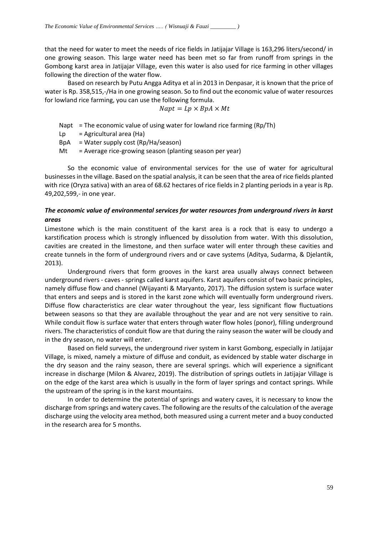that the need for water to meet the needs of rice fields in Jatijajar Village is 163,296 liters/second/ in one growing season. This large water need has been met so far from runoff from springs in the Gombong karst area in Jatijajar Village, even this water is also used for rice farming in other villages following the direction of the water flow.

Based on research by Putu Angga Aditya et al in 2013 in Denpasar, it is known that the price of water is Rp. 358,515,-/Ha in one growing season. So to find out the economic value of water resources for lowland rice farming, you can use the following formula.

$$
Napt = Lp \times BpA \times Mt
$$

Napt = The economic value of using water for lowland rice farming  $(Rp/Th)$ 

Lp  $=$  Agricultural area (Ha)

 $BpA = Water supply cost (Rp/Ha/season)$ 

 $Mt = A$ verage rice-growing season (planting season per year)

So the economic value of environmental services for the use of water for agricultural businesses in the village. Based on the spatial analysis, it can be seen that the area of rice fields planted with rice (Oryza sativa) with an area of 68.62 hectares of rice fields in 2 planting periods in a year is Rp. 49,202,599,- in one year.

### *The economic value of environmental services for water resources from underground rivers in karst areas*

Limestone which is the main constituent of the karst area is a rock that is easy to undergo a karstification process which is strongly influenced by dissolution from water. With this dissolution, cavities are created in the limestone, and then surface water will enter through these cavities and create tunnels in the form of underground rivers and or cave systems (Aditya, Sudarma, & Djelantik, 2013).

Underground rivers that form grooves in the karst area usually always connect between underground rivers - caves - springs called karst aquifers. Karst aquifers consist of two basic principles, namely diffuse flow and channel (Wijayanti & Maryanto, 2017). The diffusion system is surface water that enters and seeps and is stored in the karst zone which will eventually form underground rivers. Diffuse flow characteristics are clear water throughout the year, less significant flow fluctuations between seasons so that they are available throughout the year and are not very sensitive to rain. While conduit flow is surface water that enters through water flow holes (ponor), filling underground rivers. The characteristics of conduit flow are that during the rainy season the water will be cloudy and in the dry season, no water will enter.

Based on field surveys, the underground river system in karst Gombong, especially in Jatijajar Village, is mixed, namely a mixture of diffuse and conduit, as evidenced by stable water discharge in the dry season and the rainy season, there are several springs. which will experience a significant increase in discharge (Milon & Alvarez, 2019). The distribution of springs outlets in Jatijajar Village is on the edge of the karst area which is usually in the form of layer springs and contact springs. While the upstream of the spring is in the karst mountains.

In order to determine the potential of springs and watery caves, it is necessary to know the discharge from springs and watery caves. The following are the results of the calculation of the average discharge using the velocity area method, both measured using a current meter and a buoy conducted in the research area for 5 months.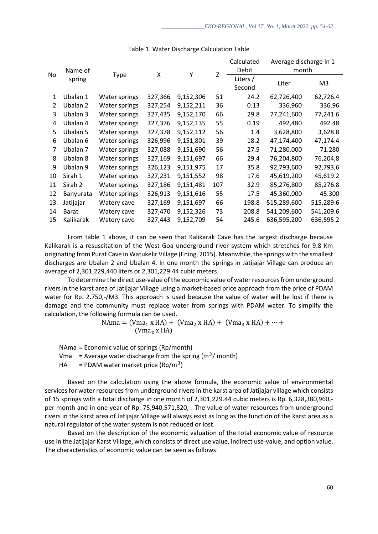| No            | Name of<br>spring | Type          | X       | Y         | Z   | Calculated | Average discharge in 1 |           |
|---------------|-------------------|---------------|---------|-----------|-----|------------|------------------------|-----------|
|               |                   |               |         |           |     | Debit      | month                  |           |
|               |                   |               |         |           |     | Liters /   | Liter                  | M3        |
|               |                   |               |         |           |     | Second     |                        |           |
| 1             | Ubalan 1          | Water springs | 327,366 | 9,152,306 | 51  | 24.2       | 62,726,400             | 62,726.4  |
| $\mathcal{L}$ | Ubalan 2          | Water springs | 327,254 | 9,152,211 | 36  | 0.13       | 336,960                | 336.96    |
| 3             | Ubalan 3          | Water springs | 327,435 | 9,152,170 | 66  | 29.8       | 77,241,600             | 77,241.6  |
| 4             | Ubalan 4          | Water springs | 327,376 | 9,152,135 | 55  | 0.19       | 492,480                | 492.48    |
| 5.            | Ubalan 5          | Water springs | 327,378 | 9,152,112 | 56  | 1.4        | 3,628,800              | 3,628.8   |
| 6             | Ubalan 6          | Water springs | 326,996 | 9,151,801 | 39  | 18.2       | 47,174,400             | 47,174.4  |
| 7             | Ubalan 7          | Water springs | 327,088 | 9,151,690 | 56  | 27.5       | 71,280,000             | 71.280    |
| 8             | Ubalan 8          | Water springs | 327,169 | 9,151,697 | 66  | 29.4       | 76,204,800             | 76,204,8  |
| 9             | Ubalan 9          | Water springs | 326,123 | 9,151,975 | 17  | 35.8       | 92,793,600             | 92,793,6  |
| 10            | Sirah 1           | Water springs | 327,231 | 9,151,552 | 98  | 17.6       | 45,619,200             | 45,619.2  |
| 11            | Sirah 2           | Water springs | 327,186 | 9,151,481 | 107 | 32.9       | 85,276,800             | 85,276.8  |
| 12            | Banyurata         | Water springs | 326,913 | 9,151,616 | 55  | 17.5       | 45,360,000             | 45.300    |
| 13            | Jatijajar         | Watery cave   | 327,169 | 9,151,697 | 66  | 198.8      | 515,289,600            | 515,289.6 |
| 14            | <b>Barat</b>      | Watery cave   | 327,470 | 9,152,326 | 73  | 208.8      | 541,209,600            | 541,209.6 |
| 15            | Kalikarak         | Watery cave   | 327,443 | 9,152,709 | 54  | 245.6      | 636,595,200            | 636,595.2 |

#### Table 1. Water Discharge Calculation Table

From table 1 above, it can be seen that Kalikarak Cave has the largest discharge because Kalikarak is a resuscitation of the West Goa underground river system which stretches for 9.8 Km originating from Purat Cave in Watukelir Village (Ening, 2015). Meanwhile, the springs with the smallest discharges are Ubalan 2 and Ubalan 4. In one month the springs in Jatijajar Village can produce an average of 2,301,229,440 liters or 2,301,229.44 cubic meters.

To determine the direct use-value of the economic value of water resources from underground rivers in the karst area of Jatijajar Village using a market-based price approach from the price of PDAM water for Rp. 2.750,-/M3. This approach is used because the value of water will be lost if there is damage and the community must replace water from springs with PDAM water. To simplify the calculation, the following formula can be used.

> $NAma = (Vma_1 x HA) + (Vma_2 x HA) + (Vma_3 x HA) + \cdots +$  $(Vma<sub>z</sub> x HA)$

NAma = Economic value of springs (Rp/month)

Vma  $=$  Average water discharge from the spring ( $\text{m}^3$ / month)

HA = PDAM water market price  $(\text{Rp/m}^3)$ 

Based on the calculation using the above formula, the economic value of environmental services for water resources from underground rivers in the karst area of Jatijajar village which consists of 15 springs with a total discharge in one month of 2,301,229.44 cubic meters is Rp. 6,328,380,960, per month and in one year of Rp. 75,940,571,520,-. The value of water resources from underground rivers in the karst area of Jatijajar Village will always exist as long as the function of the karst area as a natural regulator of the water system is not reduced or lost.

Based on the description of the economic valuation of the total economic value of resource use in the Jatijajar Karst Village, which consists of direct use value, indirect use-value, and option value. The characteristics of economic value can be seen as follows: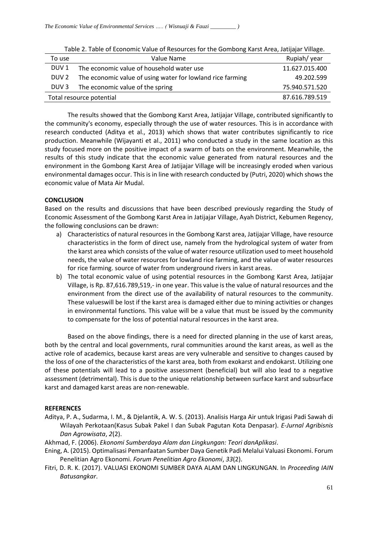| To use                   | Value Name                                                 | Rupiah/year    |
|--------------------------|------------------------------------------------------------|----------------|
| DUV <sub>1</sub>         | The economic value of household water use                  | 11.627.015.400 |
| DUV <sub>2</sub>         | The economic value of using water for lowland rice farming | 49.202.599     |
| DUV <sub>3</sub>         | The economic value of the spring                           | 75.940.571.520 |
| Total resource potential | 87.616.789.519                                             |                |

Table 2. Table of Economic Value of Resources for the Gombong Karst Area, Jatijajar Village.

The results showed that the Gombong Karst Area, Jatijajar Village, contributed significantly to the community's economy, especially through the use of water resources. This is in accordance with research conducted (Aditya et al., 2013) which shows that water contributes significantly to rice production. Meanwhile (Wijayanti et al., 2011) who conducted a study in the same location as this study focused more on the positive impact of a swarm of bats on the environment. Meanwhile, the results of this study indicate that the economic value generated from natural resources and the environment in the Gombong Karst Area of Jatijajar Village will be increasingly eroded when various environmental damages occur. This is in line with research conducted by (Putri, 2020) which shows the economic value of Mata Air Mudal.

#### **CONCLUSION**

Based on the results and discussions that have been described previously regarding the Study of Economic Assessment of the Gombong Karst Area in Jatijajar Village, Ayah District, Kebumen Regency, the following conclusions can be drawn:

- a) Characteristics of natural resources in the Gombong Karst area, Jatijajar Village, have resource characteristics in the form of direct use, namely from the hydrological system of water from the karst area which consists of the value of water resource utilization used to meet household needs, the value of water resources for lowland rice farming, and the value of water resources for rice farming. source of water from underground rivers in karst areas.
- b) The total economic value of using potential resources in the Gombong Karst Area, Jatijajar Village, is Rp. 87,616.789,519,- in one year. This value is the value of natural resources and the environment from the direct use of the availability of natural resources to the community. These valueswill be lost if the karst area is damaged either due to mining activities or changes in environmental functions. This value will be a value that must be issued by the community to compensate for the loss of potential natural resources in the karst area.

Based on the above findings, there is a need for directed planning in the use of karst areas, both by the central and local governments, rural communities around the karst areas, as well as the active role of academics, because karst areas are very vulnerable and sensitive to changes caused by the loss of one of the characteristics of the karst area, both from exokarst and endokarst. Utilizing one of these potentials will lead to a positive assessment (beneficial) but will also lead to a negative assessment (detrimental). This is due to the unique relationship between surface karst and subsurface karst and damaged karst areas are non-renewable.

#### **REFERENCES**

Aditya, P. A., Sudarma, I. M., & Djelantik, A. W. S. (2013). Analisis Harga Air untuk Irigasi Padi Sawah di Wilayah Perkotaan(Kasus Subak Pakel I dan Subak Pagutan Kota Denpasar). *E-Jurnal Agribisnis Dan Agrowisata*, *2*(2).

Akhmad, F. (2006). *Ekonomi Sumberdaya Alam dan Lingkungan: Teori danAplikasi*.

- Ening, A. (2015). Optimalisasi Pemanfaatan Sumber Daya Genetik Padi Melalui Valuasi Ekonomi. Forum Penelitian Agro Ekonomi. *Forum Penelitian Agro Ekonomi*, *33*(2).
- Fitri, D. R. K. (2017). VALUASI EKONOMI SUMBER DAYA ALAM DAN LINGKUNGAN. In *Proceeding IAIN Batusangkar*.